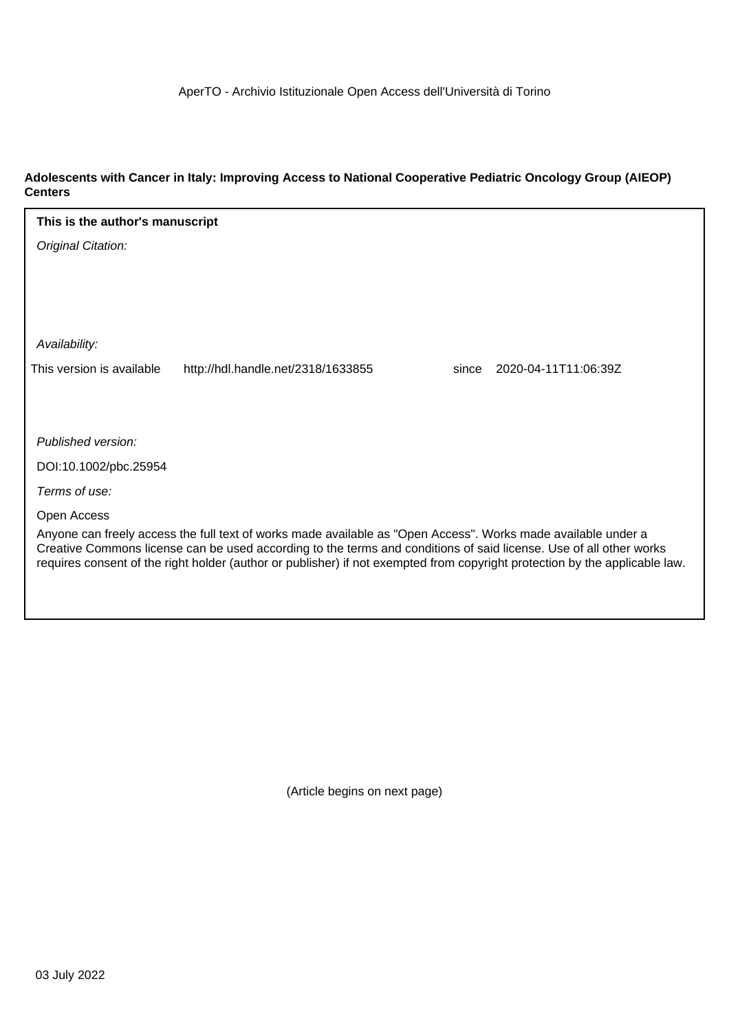### **Adolescents with Cancer in Italy: Improving Access to National Cooperative Pediatric Oncology Group (AIEOP) Centers**

| This is the author's manuscript                                                                                                                                                                                                     |                                    |       |                      |
|-------------------------------------------------------------------------------------------------------------------------------------------------------------------------------------------------------------------------------------|------------------------------------|-------|----------------------|
| Original Citation:                                                                                                                                                                                                                  |                                    |       |                      |
|                                                                                                                                                                                                                                     |                                    |       |                      |
|                                                                                                                                                                                                                                     |                                    |       |                      |
|                                                                                                                                                                                                                                     |                                    |       |                      |
| Availability:                                                                                                                                                                                                                       |                                    |       |                      |
| This version is available                                                                                                                                                                                                           | http://hdl.handle.net/2318/1633855 | since | 2020-04-11T11:06:39Z |
|                                                                                                                                                                                                                                     |                                    |       |                      |
|                                                                                                                                                                                                                                     |                                    |       |                      |
| Published version:                                                                                                                                                                                                                  |                                    |       |                      |
| DOI:10.1002/pbc.25954                                                                                                                                                                                                               |                                    |       |                      |
| Terms of use:                                                                                                                                                                                                                       |                                    |       |                      |
| Open Access                                                                                                                                                                                                                         |                                    |       |                      |
| Anyone can freely access the full text of works made available as "Open Access". Works made available under a<br>Creative Commons license can be used according to the terms and conditions of said license. Use of all other works |                                    |       |                      |
| requires consent of the right holder (author or publisher) if not exempted from copyright protection by the applicable law.                                                                                                         |                                    |       |                      |
|                                                                                                                                                                                                                                     |                                    |       |                      |
|                                                                                                                                                                                                                                     |                                    |       |                      |

(Article begins on next page)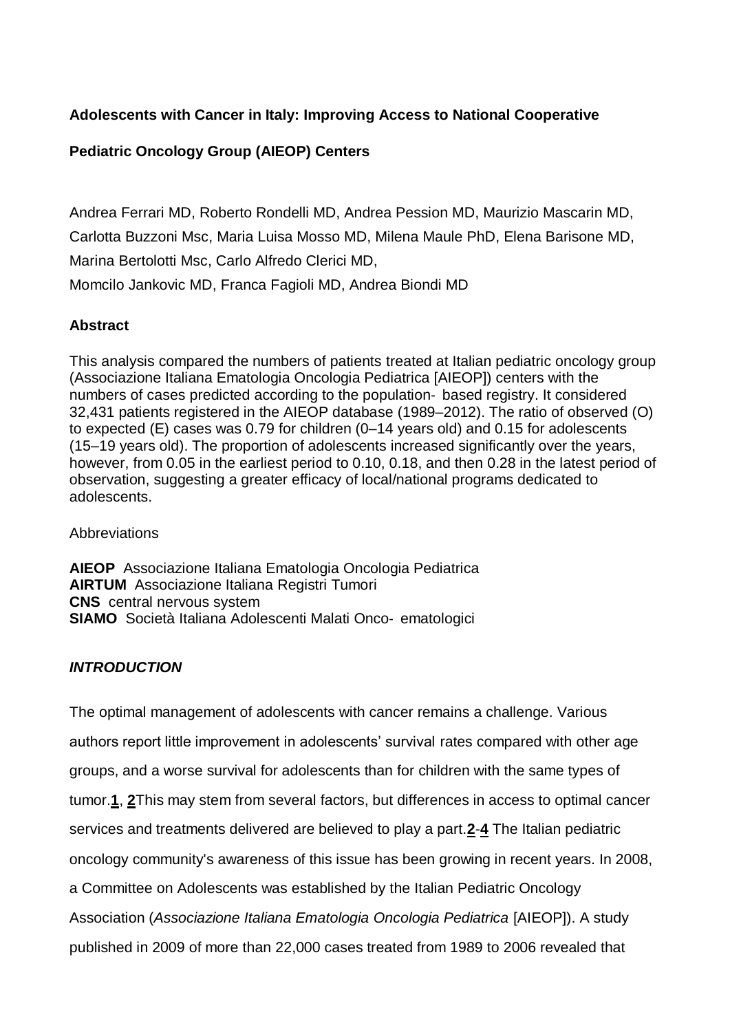# **Adolescents with Cancer in Italy: Improving Access to National Cooperative**

# **Pediatric Oncology Group (AIEOP) Centers**

[Andrea Ferrari MD,](https://onlinelibrary-wiley-com.bibliopass.unito.it/action/doSearch?ContribAuthorStored=Ferrari%2C+Andrea) [Roberto Rondelli MD,](https://onlinelibrary-wiley-com.bibliopass.unito.it/action/doSearch?ContribAuthorStored=Rondelli%2C+Roberto) [Andrea Pession MD,](https://onlinelibrary-wiley-com.bibliopass.unito.it/action/doSearch?ContribAuthorStored=Pession%2C+Andrea) [Maurizio Mascarin MD,](https://onlinelibrary-wiley-com.bibliopass.unito.it/action/doSearch?ContribAuthorStored=Mascarin%2C+Maurizio)

[Carlotta Buzzoni Msc,](https://onlinelibrary-wiley-com.bibliopass.unito.it/action/doSearch?ContribAuthorStored=Buzzoni%2C+Carlotta) [Maria Luisa Mosso MD,](https://onlinelibrary-wiley-com.bibliopass.unito.it/action/doSearch?ContribAuthorStored=Mosso%2C+Maria+Luisa) [Milena Maule PhD,](https://onlinelibrary-wiley-com.bibliopass.unito.it/action/doSearch?ContribAuthorStored=Maule%2C+Milena) [Elena Barisone MD,](https://onlinelibrary-wiley-com.bibliopass.unito.it/action/doSearch?ContribAuthorStored=Barisone%2C+Elena) [Marina Bertolotti Msc,](https://onlinelibrary-wiley-com.bibliopass.unito.it/action/doSearch?ContribAuthorStored=Bertolotti%2C+Marina) [Carlo Alfredo Clerici MD,](https://onlinelibrary-wiley-com.bibliopass.unito.it/action/doSearch?ContribAuthorStored=Clerici%2C+Carlo+Alfredo)

[Momcilo Jankovic MD,](https://onlinelibrary-wiley-com.bibliopass.unito.it/action/doSearch?ContribAuthorStored=Jankovic%2C+Momcilo) [Franca Fagioli MD,](https://onlinelibrary-wiley-com.bibliopass.unito.it/action/doSearch?ContribAuthorStored=Fagioli%2C+Franca) [Andrea Biondi MD](https://onlinelibrary-wiley-com.bibliopass.unito.it/action/doSearch?ContribAuthorStored=Biondi%2C+Andrea)

## **Abstract**

This analysis compared the numbers of patients treated at Italian pediatric oncology group (Associazione Italiana Ematologia Oncologia Pediatrica [AIEOP]) centers with the numbers of cases predicted according to the population‐ based registry. It considered 32,431 patients registered in the AIEOP database (1989–2012). The ratio of observed (O) to expected (E) cases was 0.79 for children (0–14 years old) and 0.15 for adolescents (15–19 years old). The proportion of adolescents increased significantly over the years, however, from 0.05 in the earliest period to 0.10, 0.18, and then 0.28 in the latest period of observation, suggesting a greater efficacy of local/national programs dedicated to adolescents.

**Abbreviations** 

**AIEOP** Associazione Italiana Ematologia Oncologia Pediatrica **AIRTUM** Associazione Italiana Registri Tumori **CNS** central nervous system **SIAMO** Società Italiana Adolescenti Malati Onco‐ ematologici

## *INTRODUCTION*

The optimal management of adolescents with cancer remains a challenge. Various authors report little improvement in adolescents' survival rates compared with other age groups, and a worse survival for adolescents than for children with the same types of tumor.**[1](https://onlinelibrary-wiley-com.bibliopass.unito.it/doi/full/10.1002/pbc.25954#pbc25954-bib-0001)**, **[2](https://onlinelibrary-wiley-com.bibliopass.unito.it/doi/full/10.1002/pbc.25954#pbc25954-bib-0002)**This may stem from several factors, but differences in access to optimal cancer services and treatments delivered are believed to play a part.**[2](https://onlinelibrary-wiley-com.bibliopass.unito.it/doi/full/10.1002/pbc.25954#pbc25954-bib-0002)**-**[4](https://onlinelibrary-wiley-com.bibliopass.unito.it/doi/full/10.1002/pbc.25954#pbc25954-bib-0004)** The Italian pediatric oncology community's awareness of this issue has been growing in recent years. In 2008, a Committee on Adolescents was established by the Italian Pediatric Oncology Association (*Associazione Italiana Ematologia Oncologia Pediatrica* [AIEOP]). A study published in 2009 of more than 22,000 cases treated from 1989 to 2006 revealed that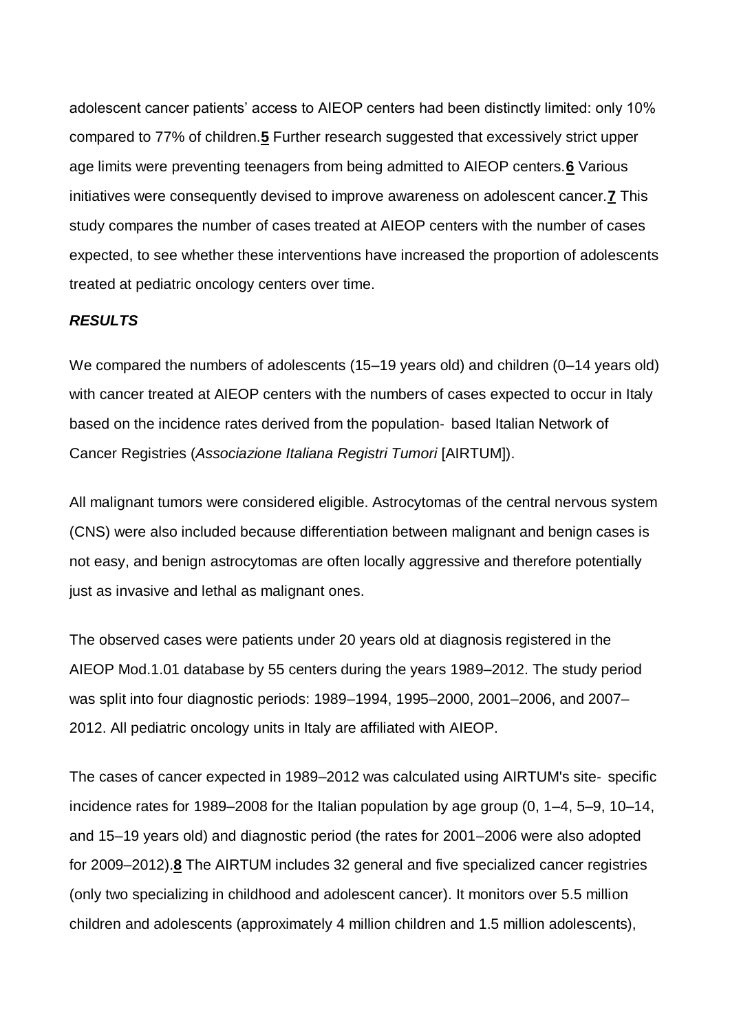adolescent cancer patients' access to AIEOP centers had been distinctly limited: only 10% compared to 77% of children.**[5](https://onlinelibrary-wiley-com.bibliopass.unito.it/doi/full/10.1002/pbc.25954#pbc25954-bib-0005)** Further research suggested that excessively strict upper age limits were preventing teenagers from being admitted to AIEOP centers.**[6](https://onlinelibrary-wiley-com.bibliopass.unito.it/doi/full/10.1002/pbc.25954#pbc25954-bib-0006)** Various initiatives were consequently devised to improve awareness on adolescent cancer.**[7](https://onlinelibrary-wiley-com.bibliopass.unito.it/doi/full/10.1002/pbc.25954#pbc25954-bib-0007)** This study compares the number of cases treated at AIEOP centers with the number of cases expected, to see whether these interventions have increased the proportion of adolescents treated at pediatric oncology centers over time.

### *RESULTS*

We compared the numbers of adolescents (15–19 years old) and children (0–14 years old) with cancer treated at AIEOP centers with the numbers of cases expected to occur in Italy based on the incidence rates derived from the population‐ based Italian Network of Cancer Registries (*Associazione Italiana Registri Tumori* [AIRTUM]).

All malignant tumors were considered eligible. Astrocytomas of the central nervous system (CNS) were also included because differentiation between malignant and benign cases is not easy, and benign astrocytomas are often locally aggressive and therefore potentially just as invasive and lethal as malignant ones.

The observed cases were patients under 20 years old at diagnosis registered in the AIEOP Mod.1.01 database by 55 centers during the years 1989–2012. The study period was split into four diagnostic periods: 1989–1994, 1995–2000, 2001–2006, and 2007– 2012. All pediatric oncology units in Italy are affiliated with AIEOP.

The cases of cancer expected in 1989–2012 was calculated using AIRTUM's site‐ specific incidence rates for 1989–2008 for the Italian population by age group (0, 1–4, 5–9, 10–14, and 15–19 years old) and diagnostic period (the rates for 2001–2006 were also adopted for 2009–2012).**[8](https://onlinelibrary-wiley-com.bibliopass.unito.it/doi/full/10.1002/pbc.25954#pbc25954-bib-0008)** The AIRTUM includes 32 general and five specialized cancer registries (only two specializing in childhood and adolescent cancer). It monitors over 5.5 million children and adolescents (approximately 4 million children and 1.5 million adolescents),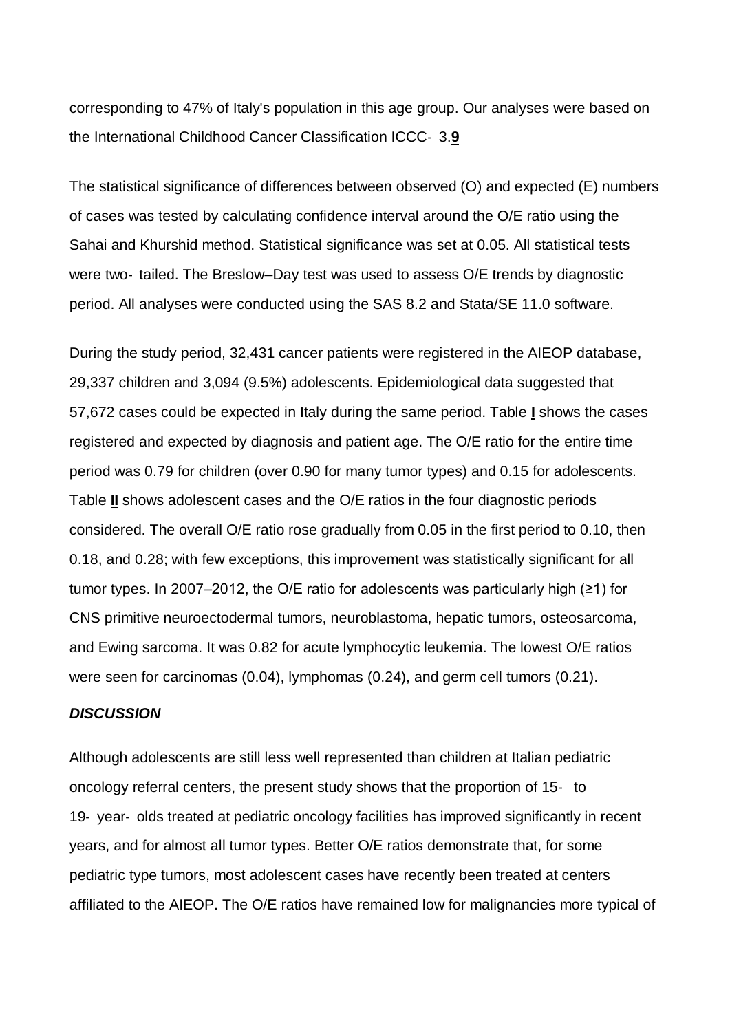corresponding to 47% of Italy's population in this age group. Our analyses were based on the International Childhood Cancer Classification ICCC‐ 3.**[9](https://onlinelibrary-wiley-com.bibliopass.unito.it/doi/full/10.1002/pbc.25954#pbc25954-bib-0009)**

The statistical significance of differences between observed (O) and expected (E) numbers of cases was tested by calculating confidence interval around the O/E ratio using the Sahai and Khurshid method. Statistical significance was set at 0.05. All statistical tests were two- tailed. The Breslow–Day test was used to assess O/E trends by diagnostic period. All analyses were conducted using the SAS 8.2 and Stata/SE 11.0 software.

During the study period, 32,431 cancer patients were registered in the AIEOP database, 29,337 children and 3,094 (9.5%) adolescents. Epidemiological data suggested that 57,672 cases could be expected in Italy during the same period. Table **[I](https://onlinelibrary-wiley-com.bibliopass.unito.it/doi/full/10.1002/pbc.25954#pbc25954-tbl-0001)** shows the cases registered and expected by diagnosis and patient age. The O/E ratio for the entire time period was 0.79 for children (over 0.90 for many tumor types) and 0.15 for adolescents. Table **[II](https://onlinelibrary-wiley-com.bibliopass.unito.it/doi/full/10.1002/pbc.25954#pbc25954-tbl-0002)** shows adolescent cases and the O/E ratios in the four diagnostic periods considered. The overall O/E ratio rose gradually from 0.05 in the first period to 0.10, then 0.18, and 0.28; with few exceptions, this improvement was statistically significant for all tumor types. In 2007–2012, the O/E ratio for adolescents was particularly high (≥1) for CNS primitive neuroectodermal tumors, neuroblastoma, hepatic tumors, osteosarcoma, and Ewing sarcoma. It was 0.82 for acute lymphocytic leukemia. The lowest O/E ratios were seen for carcinomas (0.04), lymphomas (0.24), and germ cell tumors (0.21).

### *DISCUSSION*

Although adolescents are still less well represented than children at Italian pediatric oncology referral centers, the present study shows that the proportion of 15‐ to 19‐ year‐ olds treated at pediatric oncology facilities has improved significantly in recent years, and for almost all tumor types. Better O/E ratios demonstrate that, for some pediatric type tumors, most adolescent cases have recently been treated at centers affiliated to the AIEOP. The O/E ratios have remained low for malignancies more typical of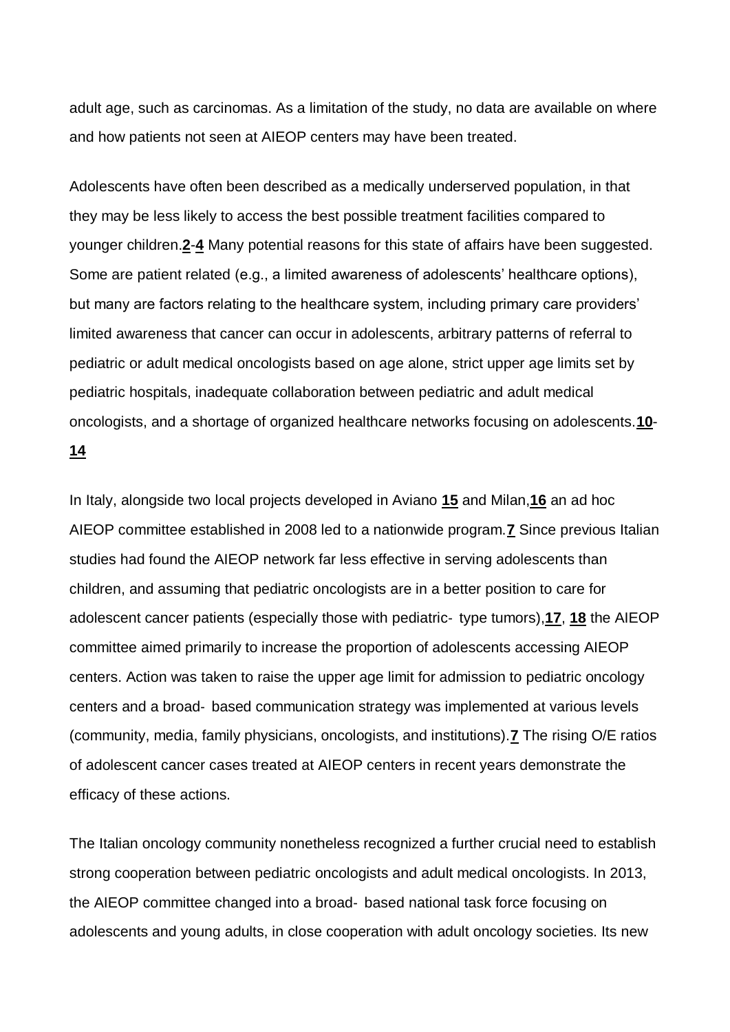adult age, such as carcinomas. As a limitation of the study, no data are available on where and how patients not seen at AIEOP centers may have been treated.

Adolescents have often been described as a medically underserved population, in that they may be less likely to access the best possible treatment facilities compared to younger children.**[2](https://onlinelibrary-wiley-com.bibliopass.unito.it/doi/full/10.1002/pbc.25954#pbc25954-bib-0002)**-**[4](https://onlinelibrary-wiley-com.bibliopass.unito.it/doi/full/10.1002/pbc.25954#pbc25954-bib-0004)** Many potential reasons for this state of affairs have been suggested. Some are patient related (e.g., a limited awareness of adolescents' healthcare options), but many are factors relating to the healthcare system, including primary care providers' limited awareness that cancer can occur in adolescents, arbitrary patterns of referral to pediatric or adult medical oncologists based on age alone, strict upper age limits set by pediatric hospitals, inadequate collaboration between pediatric and adult medical oncologists, and a shortage of organized healthcare networks focusing on adolescents.**[10](https://onlinelibrary-wiley-com.bibliopass.unito.it/doi/full/10.1002/pbc.25954#pbc25954-bib-0010)**- **[14](https://onlinelibrary-wiley-com.bibliopass.unito.it/doi/full/10.1002/pbc.25954#pbc25954-bib-0014)**

In Italy, alongside two local projects developed in Aviano **[15](https://onlinelibrary-wiley-com.bibliopass.unito.it/doi/full/10.1002/pbc.25954#pbc25954-bib-0015)** and Milan,**[16](https://onlinelibrary-wiley-com.bibliopass.unito.it/doi/full/10.1002/pbc.25954#pbc25954-bib-0016)** an ad hoc AIEOP committee established in 2008 led to a nationwide program.**[7](https://onlinelibrary-wiley-com.bibliopass.unito.it/doi/full/10.1002/pbc.25954#pbc25954-bib-0007)** Since previous Italian studies had found the AIEOP network far less effective in serving adolescents than children, and assuming that pediatric oncologists are in a better position to care for adolescent cancer patients (especially those with pediatric‐ type tumors),**[17](https://onlinelibrary-wiley-com.bibliopass.unito.it/doi/full/10.1002/pbc.25954#pbc25954-bib-0017)**, **[18](https://onlinelibrary-wiley-com.bibliopass.unito.it/doi/full/10.1002/pbc.25954#pbc25954-bib-0018)** the AIEOP committee aimed primarily to increase the proportion of adolescents accessing AIEOP centers. Action was taken to raise the upper age limit for admission to pediatric oncology centers and a broad‐ based communication strategy was implemented at various levels (community, media, family physicians, oncologists, and institutions).**[7](https://onlinelibrary-wiley-com.bibliopass.unito.it/doi/full/10.1002/pbc.25954#pbc25954-bib-0007)** The rising O/E ratios of adolescent cancer cases treated at AIEOP centers in recent years demonstrate the efficacy of these actions.

The Italian oncology community nonetheless recognized a further crucial need to establish strong cooperation between pediatric oncologists and adult medical oncologists. In 2013, the AIEOP committee changed into a broad‐ based national task force focusing on adolescents and young adults, in close cooperation with adult oncology societies. Its new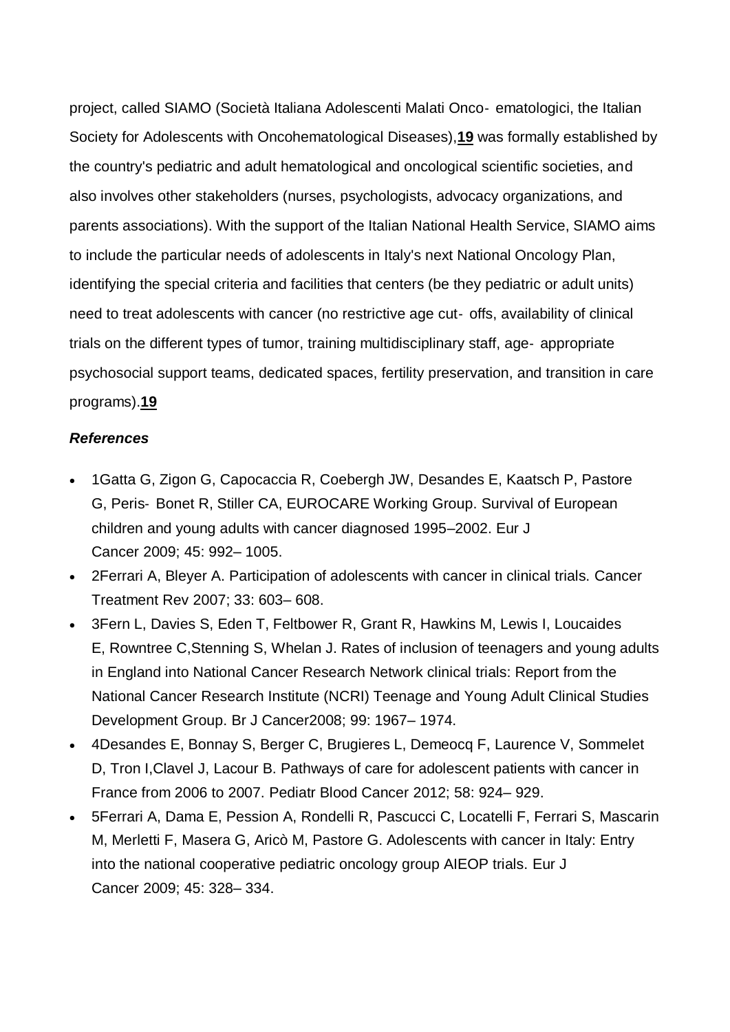project, called SIAMO (Società Italiana Adolescenti Malati Onco‐ ematologici, the Italian Society for Adolescents with Oncohematological Diseases),**[19](https://onlinelibrary-wiley-com.bibliopass.unito.it/doi/full/10.1002/pbc.25954#pbc25954-bib-0019)** was formally established by the country's pediatric and adult hematological and oncological scientific societies, and also involves other stakeholders (nurses, psychologists, advocacy organizations, and parents associations). With the support of the Italian National Health Service, SIAMO aims to include the particular needs of adolescents in Italy's next National Oncology Plan, identifying the special criteria and facilities that centers (be they pediatric or adult units) need to treat adolescents with cancer (no restrictive age cut- offs, availability of clinical trials on the different types of tumor, training multidisciplinary staff, age‐ appropriate psychosocial support teams, dedicated spaces, fertility preservation, and transition in care programs).**[19](https://onlinelibrary-wiley-com.bibliopass.unito.it/doi/full/10.1002/pbc.25954#pbc25954-bib-0019)**

#### *References*

- 1 Gatta G, Zigon G, Capocaccia R, Coebergh JW, Desandes E, Kaatsch P, Pastore G, Peris‐ Bonet R, Stiller CA, EUROCARE Working Group. Survival of European children and young adults with cancer diagnosed 1995–2002. Eur J Cancer 2009; 45: 992– 1005.
- 2Ferrari A, Bleyer A. Participation of adolescents with cancer in clinical trials. Cancer Treatment Rev 2007; 33: 603– 608.
- 3Fern L, Davies S, Eden T, Feltbower R, Grant R, Hawkins M, Lewis I, Loucaides E, Rowntree C,Stenning S, Whelan J. Rates of inclusion of teenagers and young adults in England into National Cancer Research Network clinical trials: Report from the National Cancer Research Institute (NCRI) Teenage and Young Adult Clinical Studies Development Group. Br J Cancer2008; 99: 1967– 1974.
- 4Desandes E, Bonnay S, Berger C, Brugieres L, Demeocq F, Laurence V, Sommelet D, Tron I,Clavel J, Lacour B. Pathways of care for adolescent patients with cancer in France from 2006 to 2007. Pediatr Blood Cancer 2012; 58: 924– 929.
- 5Ferrari A, Dama E, Pession A, Rondelli R, Pascucci C, Locatelli F, Ferrari S, Mascarin M, Merletti F, Masera G, Aricò M, Pastore G. Adolescents with cancer in Italy: Entry into the national cooperative pediatric oncology group AIEOP trials. Eur J Cancer 2009; 45: 328– 334.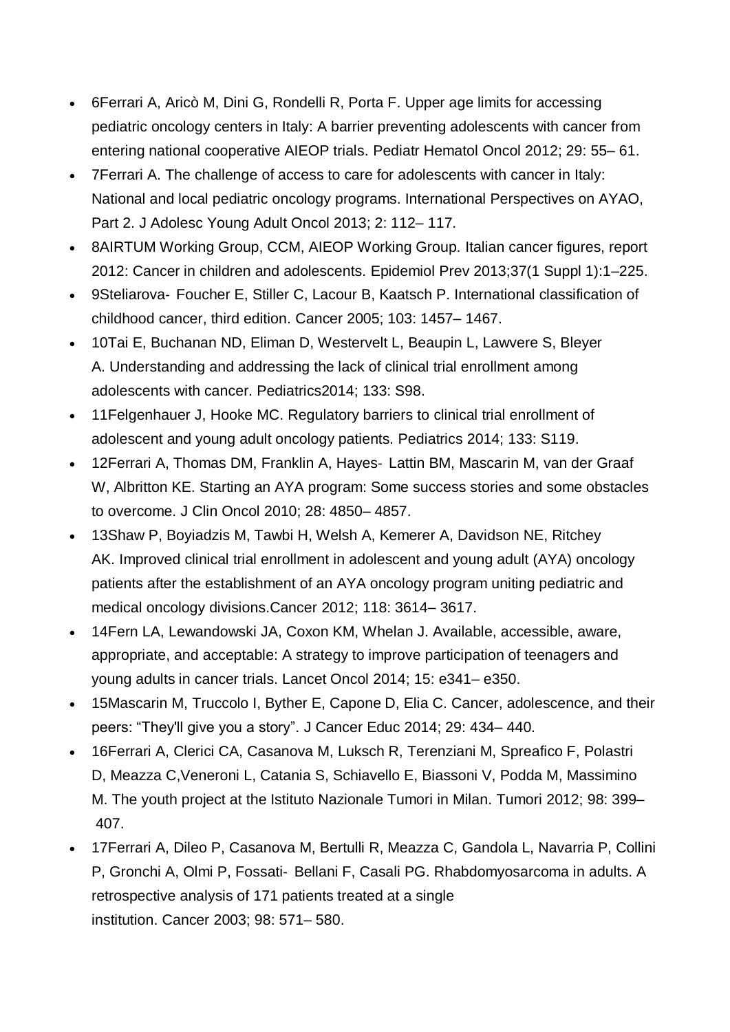- 6Ferrari A, Aricò M, Dini G, Rondelli R, Porta F. Upper age limits for accessing pediatric oncology centers in Italy: A barrier preventing adolescents with cancer from entering national cooperative AIEOP trials. Pediatr Hematol Oncol 2012; 29: 55– 61.
- 7Ferrari A. The challenge of access to care for adolescents with cancer in Italy: National and local pediatric oncology programs. International Perspectives on AYAO, Part 2. J Adolesc Young Adult Oncol 2013; 2: 112– 117.
- 8AIRTUM Working Group, CCM, AIEOP Working Group. Italian cancer figures, report 2012: Cancer in children and adolescents. Epidemiol Prev 2013;37(1 Suppl 1):1–225.
- 9Steliarova- Foucher E, Stiller C, Lacour B, Kaatsch P. International classification of childhood cancer, third edition. Cancer 2005; 103: 1457– 1467.
- 10Tai E, Buchanan ND, Eliman D, Westervelt L, Beaupin L, Lawvere S, Bleyer A. Understanding and addressing the lack of clinical trial enrollment among adolescents with cancer. Pediatrics2014; 133: S98.
- 11Felgenhauer J, Hooke MC. Regulatory barriers to clinical trial enrollment of adolescent and young adult oncology patients. Pediatrics 2014; 133: S119.
- 12Ferrari A, Thomas DM, Franklin A, Hayes- Lattin BM, Mascarin M, van der Graaf W, Albritton KE. Starting an AYA program: Some success stories and some obstacles to overcome. J Clin Oncol 2010; 28: 4850– 4857.
- 13Shaw P, Boyiadzis M, Tawbi H, Welsh A, Kemerer A, Davidson NE, Ritchey AK. Improved clinical trial enrollment in adolescent and young adult (AYA) oncology patients after the establishment of an AYA oncology program uniting pediatric and medical oncology divisions.Cancer 2012; 118: 3614– 3617.
- 14Fern LA, Lewandowski JA, Coxon KM, Whelan J. Available, accessible, aware, appropriate, and acceptable: A strategy to improve participation of teenagers and young adults in cancer trials. Lancet Oncol 2014; 15: e341– e350.
- 15Mascarin M, Truccolo I, Byther E, Capone D, Elia C. Cancer, adolescence, and their peers: "They'll give you a story". J Cancer Educ 2014; 29: 434– 440.
- 16Ferrari A, Clerici CA, Casanova M, Luksch R, Terenziani M, Spreafico F, Polastri D, Meazza C,Veneroni L, Catania S, Schiavello E, Biassoni V, Podda M, Massimino M. The youth project at the Istituto Nazionale Tumori in Milan. Tumori 2012; 98: 399– 407.
- 17Ferrari A, Dileo P, Casanova M, Bertulli R, Meazza C, Gandola L, Navarria P, Collini P, Gronchi A, Olmi P, Fossati‐ Bellani F, Casali PG. Rhabdomyosarcoma in adults. A retrospective analysis of 171 patients treated at a single institution. Cancer 2003; 98: 571– 580.